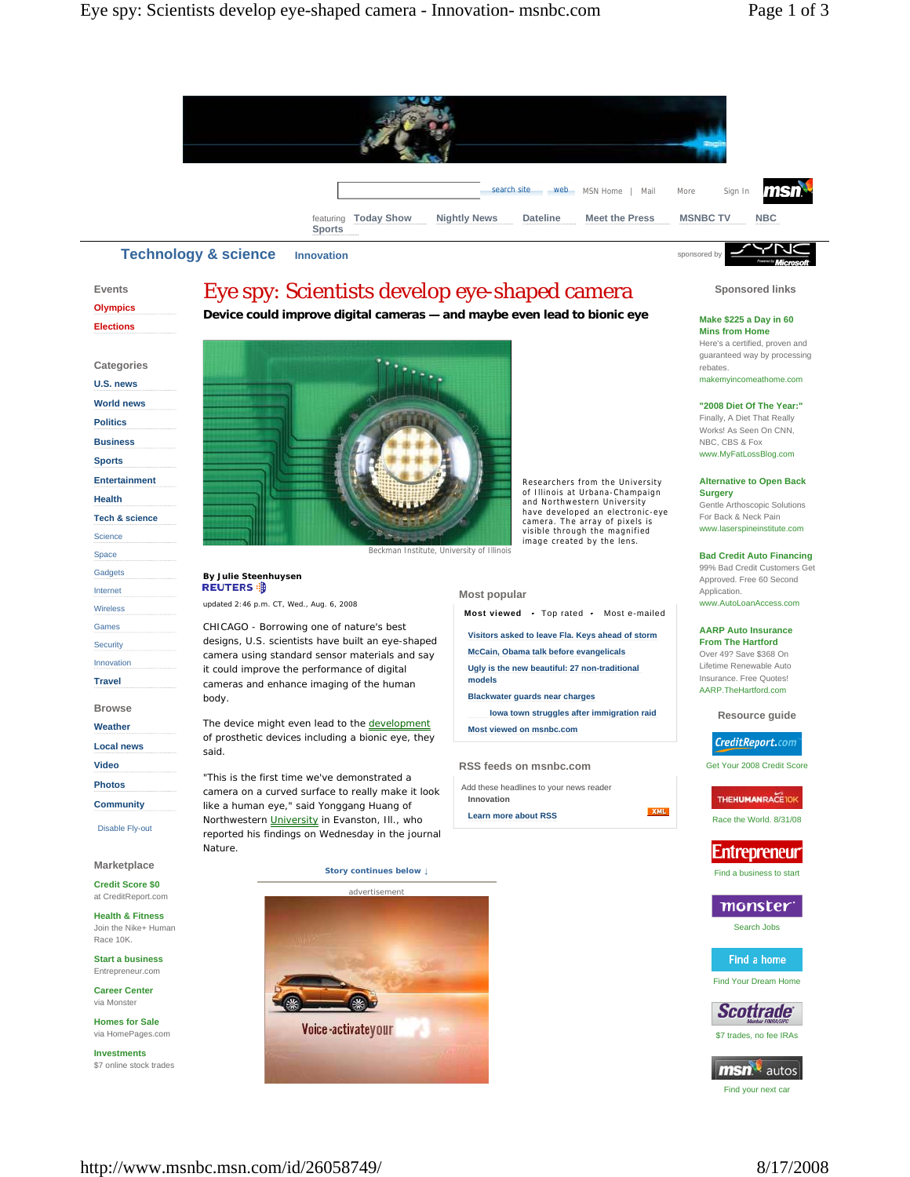



**Events Olympics Elections Categories U.S. news World news Politics Business Sports Entertainment Health Tech & science** Science Space **Gadgets** Internet Wireless Games **Security** Innovation **Travel Browse Weather Local news Video Photos Community** Disable Fly-out **Marketplace Credit Score \$0**  at CreditReport.com

**Health & Fitness**  Join the Nike+ Human Race 10K.

**Start a business**  Entrepreneur.com

**Career Center**  via Monster

**Homes for Sale**  via HomePages.com

**Investments**  \$7 online stock trades

# Eye spy: Scientists develop eye-shaped camera

# **Device could improve digital cameras — and maybe even lead to bionic eye**



Beckman Institute, University of Illinois

# **By Julie Steenhuysen**

updated 2:46 p.m. CT, Wed., Aug. 6, 2008

CHICAGO - Borrowing one of nature's best designs, U.S. scientists have built an eye-shaped camera using standard sensor materials and say it could improve the performance of digital cameras and enhance imaging of the human body.

The device might even lead to the development of prosthetic devices including a bionic eye, they said.

"This is the first time we've demonstrated a camera on a curved surface to really make it look like a human eye," said Yonggang Huang of Northwestern University in Evanston, Ill., who reported his findings on Wednesday in the journal Nature.

**Story continues below ↓**



Researchers from the University of Illinois at Urbana-Champaign and Northwestern University have developed an electronic-eye camera. The array of pixels is visible through the magnified image created by the lens.

### **Most popular**

**Most viewed** Top rated Most e-mailed

**Visitors asked to leave Fla. Keys ahead of storm**

**McCain, Obama talk before evangelicals**

**Ugly is the new beautiful: 27 non-traditional models**

**Blackwater guards near charges**

**Iowa town struggles after immigration raid Most viewed on msnbc.com**

#### **RSS feeds on msnbc.com**

Add these headlines to your news reader **Innovation** 

**Learn more about RSS**



Find a business to start

# monster

Find Your Dream Home



msn<sup>1</sup> autos Find your next car

http://www.msnbc.msn.com/id/26058749/ 8/17/2008

**Sponsored links**

## **Make \$225 a Day in 60**

**Mins from Home**  Here's a certified, proven and guaranteed way by processing rebates. makemyincomeathome.com

#### **"2008 Diet Of The Year:"**

Finally, A Diet That Really Works! As Seen On CNN, NBC, CBS & Fox www.MyFatLossBlog.com

#### **Alternative to Open Back Surgery**

Gentle Arthoscopic Solutions For Back & Neck Pain www.laserspineinstitute.com

#### **Bad Credit Auto Financing**

99% Bad Credit Customers Get Approved. Free 60 Second Application. www.AutoLoanAccess.com

**AARP Auto Insurance** 

**From The Hartford**  Over 49? Save \$368 On Lifetime Renewable Auto Insurance. Free Quotes! AARP.TheHartford.com

**Resource guide** 

# CreditReport.com

Get Your 2008 Credit Score

### THE**HUMANRACE**TOR

Race the World. 8/31/08

XML



Search Jobs

Find a home



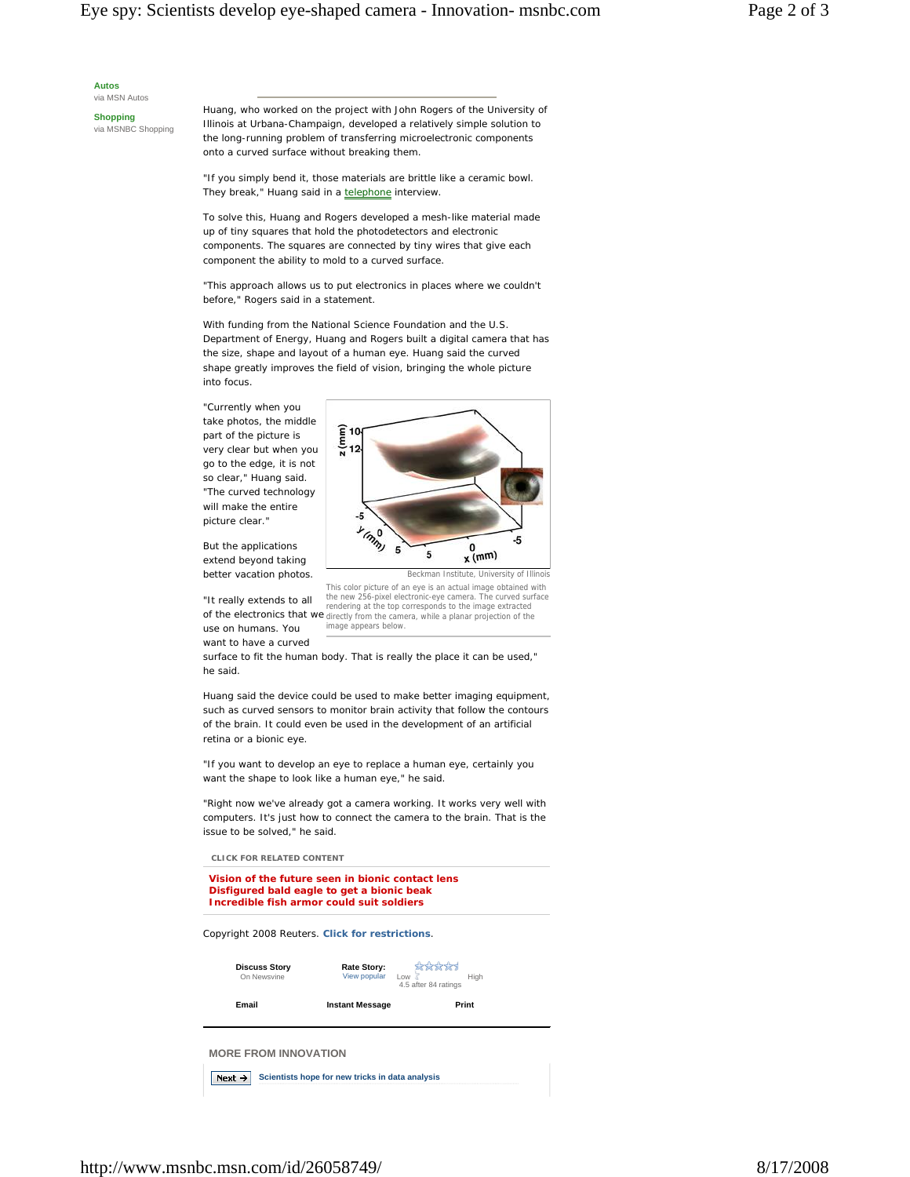**Autos** 

via MSN Autos

**Shopping**  via MSNBC Shopping Huang, who worked on the project with John Rogers of the University of Illinois at Urbana-Champaign, developed a relatively simple solution to the long-running problem of transferring microelectronic components onto a curved surface without breaking them.

"If you simply bend it, those materials are brittle like a ceramic bowl. They break," Huang said in a telephone interview.

To solve this, Huang and Rogers developed a mesh-like material made up of tiny squares that hold the photodetectors and electronic components. The squares are connected by tiny wires that give each component the ability to mold to a curved surface.

"This approach allows us to put electronics in places where we couldn't before," Rogers said in a statement.

With funding from the National Science Foundation and the U.S. Department of Energy, Huang and Rogers built a digital camera that has the size, shape and layout of a human eye. Huang said the curved shape greatly improves the field of vision, bringing the whole picture into focus.

"Currently when you take photos, the middle part of the picture is very clear but when you go to the edge, it is not so clear," Huang said. "The curved technology will make the entire picture clear."

But the applications extend beyond taking better vacation photos.

"It really extends to all use on humans. You want to have a curved



Beckman Institute, University of Illinois

of the electronics that we rendering at the top corresponds to the image extracted directly from the camera, while a planar projection of the This color picture of an eye is an actual image obtained with the new 256-pixel electronic-eye camera. The curved surface image appears below.

surface to fit the human body. That is really the place it can be used," he said.

Huang said the device could be used to make better imaging equipment, such as curved sensors to monitor brain activity that follow the contours of the brain. It could even be used in the development of an artificial retina or a bionic eye.

"If you want to develop an eye to replace a human eye, certainly you want the shape to look like a human eye," he said.

"Right now we've already got a camera working. It works very well with computers. It's just how to connect the camera to the brain. That is the issue to be solved," he said.

 **CLICK FOR RELATED CONTENT** 

```
Vision of the future seen in bionic contact lens 
Disfigured bald eagle to get a bionic beak 
Incredible fish armor could suit soldiers
```
### *Copyright 2008 Reuters. Click for restrictions.*

| <b>Discuss Story</b><br>On Newsvine | Rate Story:<br>View popular | the the theories of<br>High<br>Low<br>4.5 after 84 ratings |  |
|-------------------------------------|-----------------------------|------------------------------------------------------------|--|
| Email                               | <b>Instant Message</b>      | Print                                                      |  |
| <b>MORE FROM INNOVATION</b>         |                             |                                                            |  |

**Next > Scientists hope for new tricks in data analysis**